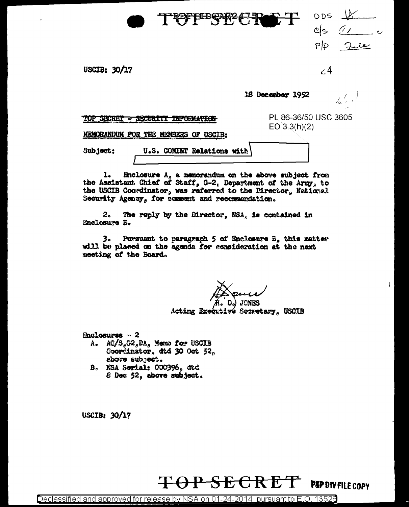| TEFPEREE THE                                                                            | <b>ODS</b><br>$\mathcal{I} \mathcal{F}$<br><u>୯ାଚ</u><br>PP |
|-----------------------------------------------------------------------------------------|-------------------------------------------------------------|
| USCIB: 30/17                                                                            | $\angle 4$                                                  |
|                                                                                         | 18 December 1952<br>$\lambda$                               |
| TUP SECRET<br>$=$ DEUURIT<br><b>TAP ON AT A</b><br>MEMORANDUM FOR THE MEMBERS OF USCIB: | PL 86-36/50 USC 3605<br>$EO$ 3.3(h)(2)                      |
| U.S. COMINT Relations with<br>Subject:                                                  |                                                             |

1. Enclosure  $A_p$  a memorandum on the above subject from<br>the Assistant Chief of Staff, G-2, Department of the Army, to the USCIB Coordinator, was referred to the Director, National Security Agency, for comment and recommendation.

The reply by the Director,  $NSA_0$  is contained in 2. Enclosure B.

3. Pursuant to paragraph 5 of Enclosure B, this matter will be placed on the agenda for consideration at the next meeting of the Board.

Acting Executivé Secretary, USCIB

 $Enclogures ~ 2$ 

- A.  $AC/S_{g}G2_{g}DA_{g}$  Memo for USCIB Coordinator, dtd 30 Oct  $52_p$ above subject.
- B. NSA Serial: 000396, dtd 8 Dec  $52<sub>9</sub>$  above subject.

USCIB:  $30/17$ 

PEP DIV FILE COPY

 $\mathbf{I}$ 

Declassified and approved for release by NSA on 01-24-2014 pursuant to E.O. 13526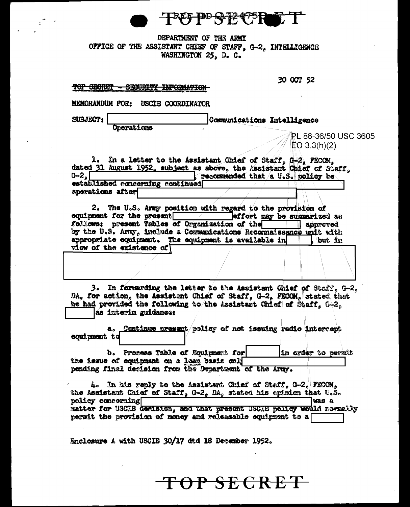FDD 62-42-4-75

## DEPARTMENT OF THE ARMY OFFICE OF THE ASSISTANT CHIEF OF STAFF. G-2. INTELLIGENCE WASHINGTON 25. D. C.

TOP SECRET - SECURITY INFORMATION-

30 OCT 52

MEMORANDUM FOR: USCIB COORDINATOR

SUBJECT:

Operations

Communications Intelligence

PL 86-36/50 USC 3605  $EO 3.3(h)(2)$ 

1. In a letter to the Assistant Chief of Staff, G-2, FECOM. dated 31 August 1952, subject as above, the Assistant Chief of Staff,  $G - 2<sub>a</sub>$ recommended that a U.S. policy be established concerning continued operations after

2. The U.S. Army position with regard to the provision of equipment for the present. Teffort may be summarized as follows: present Tables of Organization of the approved by the U.S. Army, include a Communications Recommaissance unit with appropriate equipment. The equipment is available in but in view of the existence of

3. In forwarding the letter to the Assistant Chief of Staff, G-2, DA, for action, the Assistant Chief of Staff, G-2, FECOM, stated that he had provided the following to the Assistant Chief of Staff. C-2. as interim guidance:

a. Continue present policy of not issuing radio intercept coniment to

b. Process Table of Equipment for in order to permit the issue of equipment on a losn basis only pending final decision from the Department of the Army.

4. In his reply to the Assistant Chief of Staff, G-2, FECOM, the Assistant Chief of Staff, G-2, DA, stated his opinion that U.S. policy concerning lvas a matter for USCIB decision, and that present USCIB policy would normally permit the provision of money and releasable equipment to a

Enclosure A with USCIB 30/17 dtd 18 December 1952.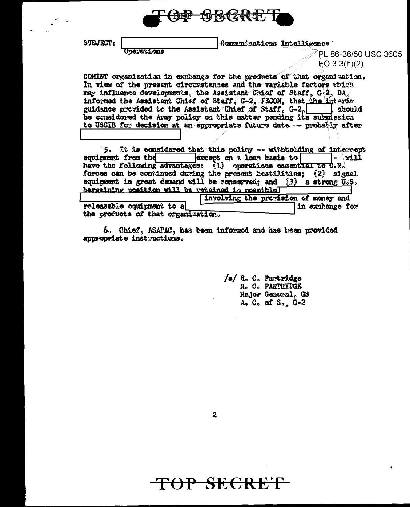

SUBJECT:

**Uperations** 

Communications Intelligence

PL 86-36/50 USC 3605  $EO 3.3(h)(2)$ 

COMINT organization in exchange for the products of that organization. In view of the present circumstances and the variable factors which may influence developments, the Assistant Chief of Staff, G-2, DA, informed the Assistant Chief of Staff, G-2, FECOM, that the linterim guidance provided to the Assistant Chief of Staff. G-2. | should be considered the Army policy on this matter pending its submission to USCIB for decision at an appropriate future date -- probably after

5. It is considered that this policy -- withholding of intercept equipment from the except on a loan basis to  $\sim$   $\omega$   $\mu$ have the following advantages: (1) operations essential to U.N. forces can be continued during the present hostilities: (2) signal equipment in great demand will be conserved; and  $(3)$  a strong  $0.3$ . bargaining position will be retained in possibleT

involving the provision of money and releasable equipment to a in exchange for the products of that organization.

6. Chief, ASAPAC, has been informed and has been provided appropriate instructions.

> /s/ R. C. Partridge R. C. PARTRIDGE Major General, GS  $A<sub>2</sub>$  C<sub>o</sub> of S<sub>ap</sub> G-2

 $\mathbf{2}$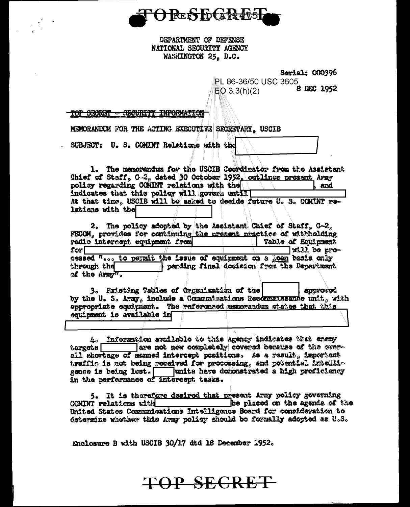

DEPARTMENT OF DEFENSE NATIONAL SECURITY AGENCY WASHINGTON 25. D.C.

Serial: 000396

PI 86-36/50 USC 3605 8 DEC 1952  $EO 3.3(h)(2)$ 

TOP SECRET - GECURITY INFORMATION

MECORANDUM FOR THE ACTING EXECUTIVE SECRETARY. USCIB

SUBJECT: U.S. COMINT Relations with the

1. The memorandum for the USCIB Coordinator from the Assistant Chief of Staff, G-2, dated 30 October 1952, outlines present Army policy regarding COMINT relations with the and indicates that this policy will govern until At that time, USCIB will be asked to decide future U.S. COMINT relations with the

2. The policy adopted by the Assistant Chief of Staff, G-2, FECOM, provides for continuing the present practice of withholding radio intercept equipment from Table of Equipment  $for \Box$ will be processed "... to permit the issue of equipment on a loan basis only pending final decision from the Department through the of the Army".

3. Existing Tables of Organization of the approved by the U.S. Army, include a Communications Recommunicate unit, with appropriate equipment. The referenced memorandum states that this equipment is available in

A. Information available to this Agency indicates that enemy targets are not now completely covered because of the over-<br>all shortage of manned intercept positions. As a result, important traffic is not being received for processing, and potential intelligence is being lost. Tunits have demonstrated a high proficiency in the performance of intercept tasks.

5. It is therefore desired that present Army policy governing COMINT relations with be placed on the agenda of the United States Communications Intelligence Board for consideration to determine whether this Army policy should be formally adopted as U.S.

Enclosure B with USCIB 30/17 dtd 18 December 1952.